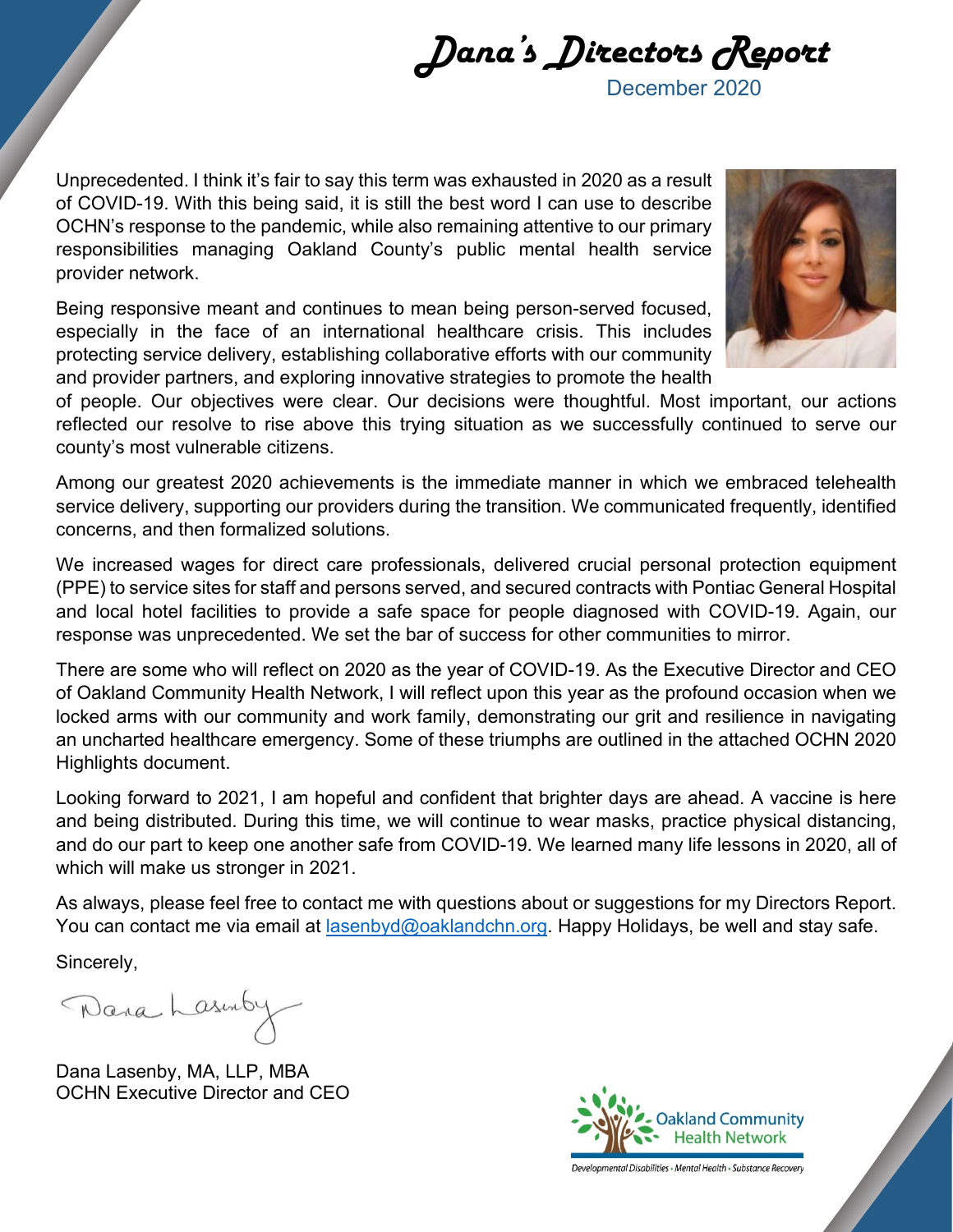Dana's Directors ReportDecember 2020

Unprecedented. I think it's fair to say this term was exhausted in 2020 as a result of COVID-19. With this being said, it is still the best word I can use to describe OCHN's response to the pandemic, while also remaining attentive to our primary responsibilities managing Oakland County's public mental health service provider network.

Being responsive meant and continues to mean being person-served focused, especially in the face of an international healthcare crisis. This includes protecting service delivery, establishing collaborative efforts with our community and provider partners, and exploring innovative strategies to promote the health



of people. Our objectives were clear. Our decisions were thoughtful. Most important, our actions reflected our resolve to rise above this trying situation as we successfully continued to serve our county's most vulnerable citizens.

Among our greatest 2020 achievements is the immediate manner in which we embraced telehealth service delivery, supporting our providers during the transition. We communicated frequently, identified concerns, and then formalized solutions.

We increased wages for direct care professionals, delivered crucial personal protection equipment (PPE) to service sites for staff and persons served, and secured contracts with Pontiac General Hospital and local hotel facilities to provide a safe space for people diagnosed with COVID-19. Again, our response was unprecedented. We set the bar of success for other communities to mirror.

There are some who will reflect on 2020 as the year of COVID-19. As the Executive Director and CEO of Oakland Community Health Network, I will reflect upon this year as the profound occasion when we locked arms with our community and work family, demonstrating our grit and resilience in navigating an uncharted healthcare emergency. Some of these triumphs are outlined in the attached OCHN 2020 Highlights document.

Looking forward to 2021, I am hopeful and confident that brighter days are ahead. A vaccine is here and being distributed. During this time, we will continue to wear masks, practice physical distancing, and do our part to keep one another safe from COVID-19. We learned many life lessons in 2020, all of which will make us stronger in 2021.

As always, please feel free to contact me with questions about or suggestions for my Directors Report. You can contact me via email at [lasenbyd@oaklandchn.org.](mailto:lasenbyd@oaklandchn.org) Happy Holidays, be well and stay safe.

Sincerely,

Dana Lasinby

Dana Lasenby, MA, LLP, MBA OCHN Executive Director and CEO



Developmental Disabilities • Mental Health • Substance Recovery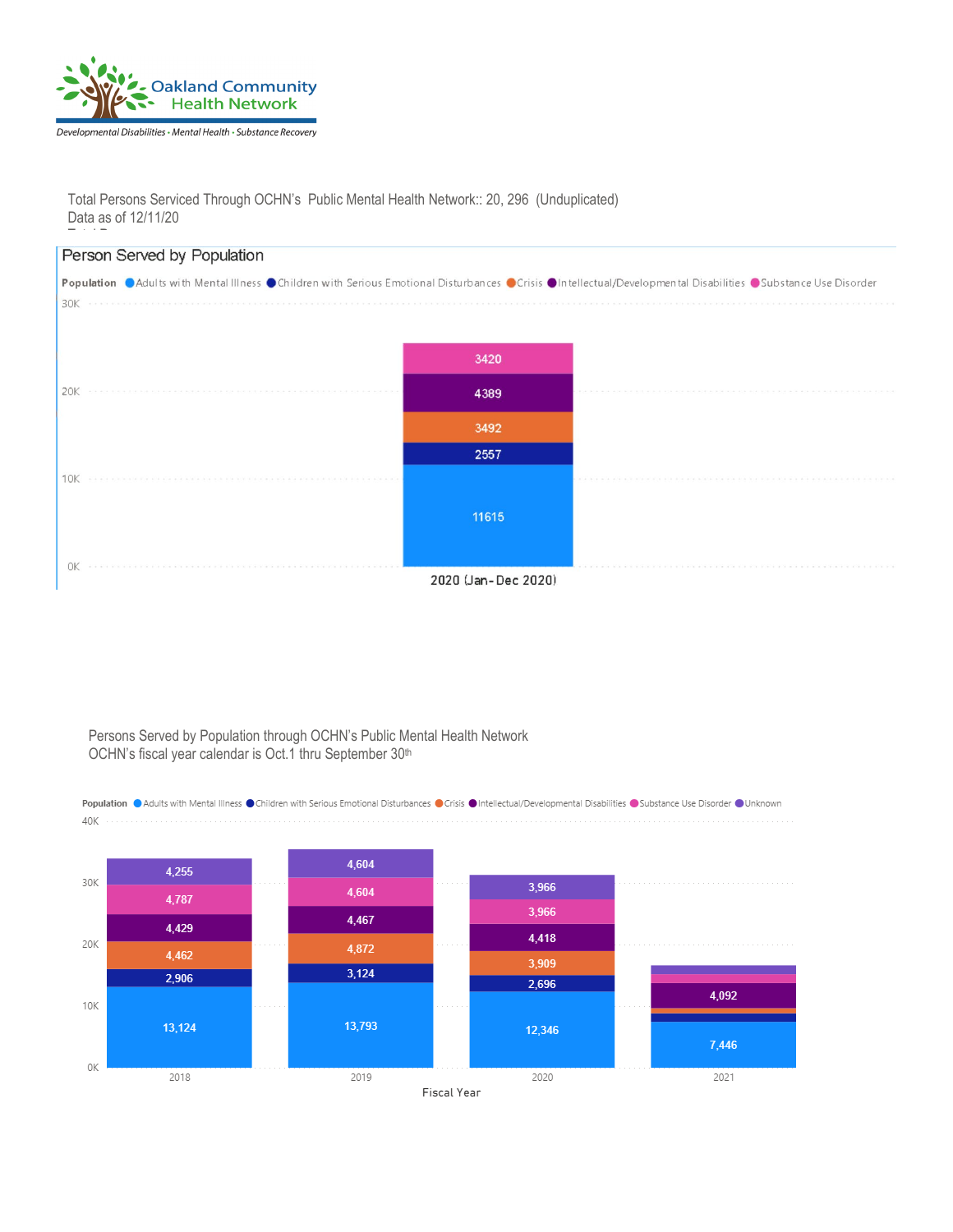

Total Persons Serviced Through OCHN's Public Mental Health Network:: 20, 296 (Unduplicated) Data as of 12/11/20



#### Persons Served by Population through OCHN's Public Mental Health Network OCHN's fiscal year calendar is Oct.1 thru September 30<sup>th</sup>

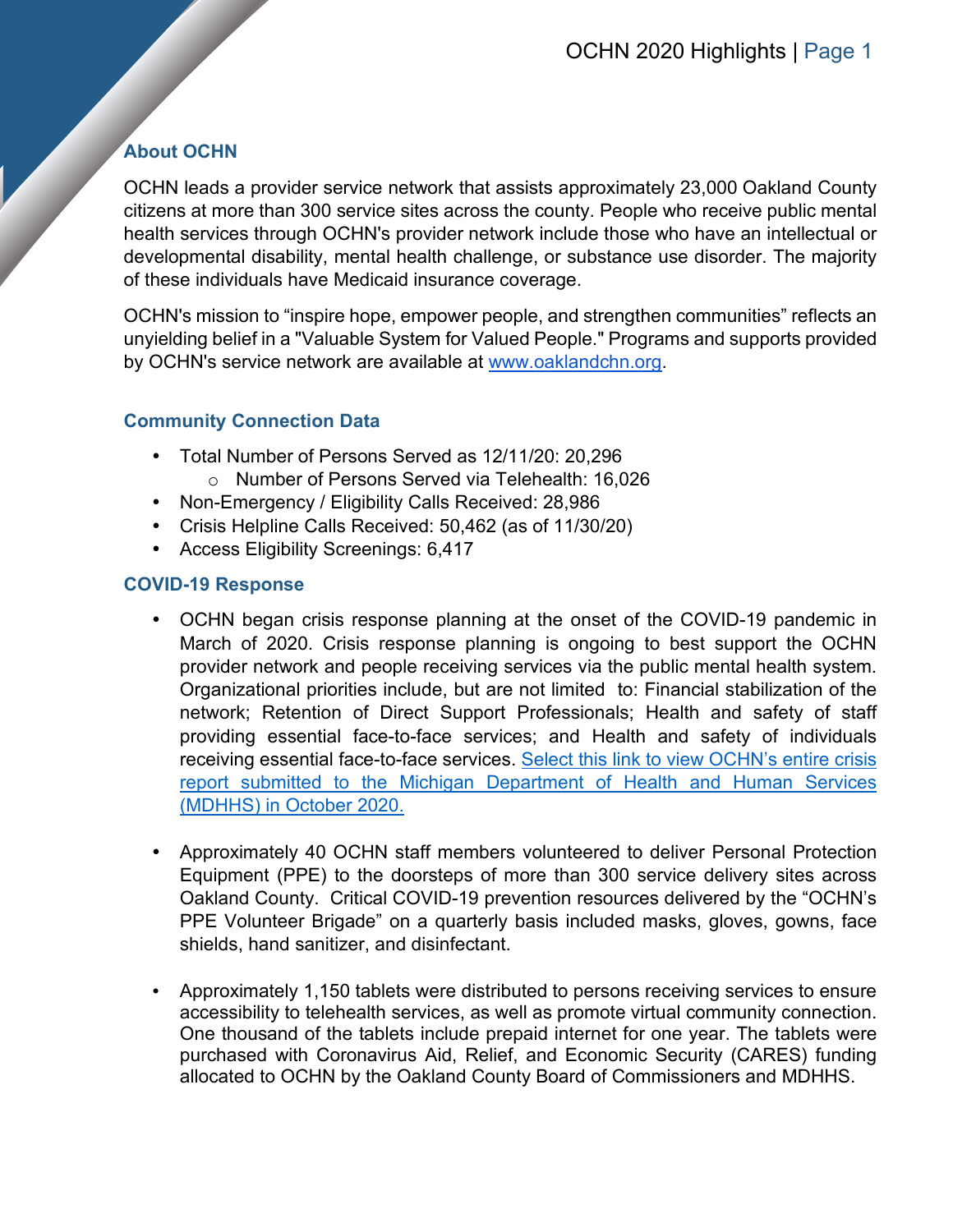# **About OCHN**

OCHN leads a provider service network that assists approximately 23,000 Oakland County citizens at more than 300 service sites across the county. People who receive public mental health services through OCHN's provider network include those who have an intellectual or developmental disability, mental health challenge, or substance use disorder. The majority of these individuals have Medicaid insurance coverage.

OCHN's mission to "inspire hope, empower people, and strengthen communities" reflects an unyielding belief in a "Valuable System for Valued People." Programs and supports provided by OCHN's service network are available at [www.oaklandchn.org.](http://www.oaklandchn.org/)

# **Community Connection Data**

- Total Number of Persons Served as 12/11/20: 20,296
	- o Number of Persons Served via Telehealth: 16,026
- Non-Emergency / Eligibility Calls Received: 28,986
- Crisis Helpline Calls Received: 50,462 (as of 11/30/20)
- Access Eligibility Screenings: 6,417

## **COVID-19 Response**

- OCHN began crisis response planning at the onset of the COVID-19 pandemic in March of 2020. Crisis response planning is ongoing to best support the OCHN provider network and people receiving services via the public mental health system. Organizational priorities include, but are not limited to: Financial stabilization of the network; Retention of Direct Support Professionals; Health and safety of staff providing essential face-to-face services; and Health and safety of individuals receiving essential face-to-face services. Select this link to view OCHN's entire crisis [report submitted to the Michigan Department of Health and Human Services](https://oaklandchn.sharepoint.com/:b:/g/EespEE5WDIJGpaDhTDE6wcgB5qFs_NHOB59ZI3lk-cnJIA?e=65Iicc)  (MDHHS) [in October 2020.](https://oaklandchn.sharepoint.com/:b:/g/EespEE5WDIJGpaDhTDE6wcgB5qFs_NHOB59ZI3lk-cnJIA?e=65Iicc)
- Approximately 40 OCHN staff members volunteered to deliver Personal Protection Equipment (PPE) to the doorsteps of more than 300 service delivery sites across Oakland County. Critical COVID-19 prevention resources delivered by the "OCHN's PPE Volunteer Brigade" on a quarterly basis included masks, gloves, gowns, face shields, hand sanitizer, and disinfectant.
- Approximately 1,150 tablets were distributed to persons receiving services to ensure accessibility to telehealth services, as well as promote virtual community connection. One thousand of the tablets include prepaid internet for one year. The tablets were purchased with Coronavirus Aid, Relief, and Economic Security (CARES) funding allocated to OCHN by the Oakland County Board of Commissioners and MDHHS.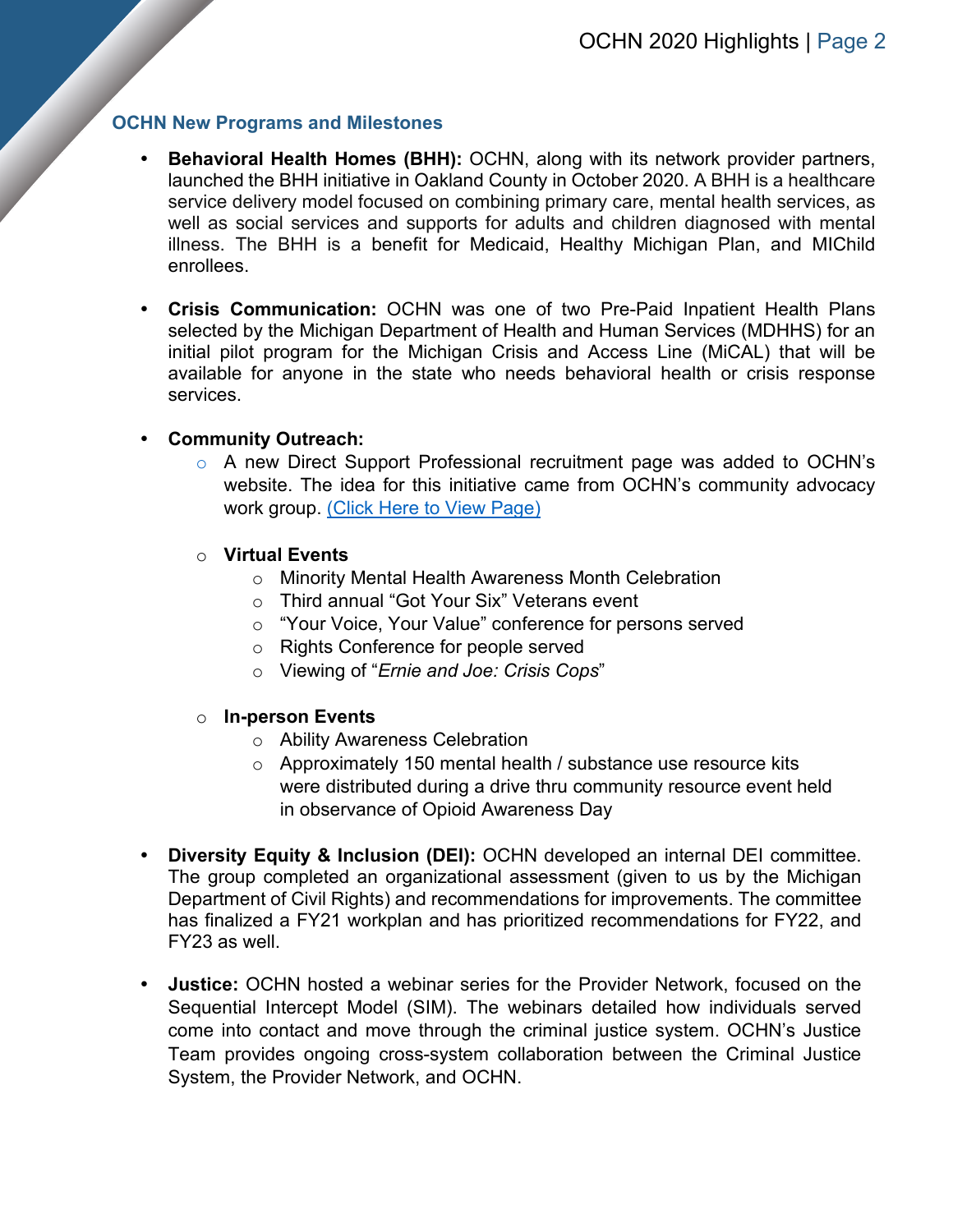#### **OCHN New Programs and Milestones**

- **Behavioral Health Homes (BHH):** OCHN, along with its network provider partners, launched the BHH initiative in Oakland County in October 2020. A BHH is a healthcare service delivery model focused on combining primary care, mental health services, as well as social services and supports for adults and children diagnosed with mental illness. The BHH is a benefit for Medicaid, Healthy Michigan Plan, and MIChild enrollees.
- **Crisis Communication:** OCHN was one of two Pre-Paid Inpatient Health Plans selected by the Michigan Department of Health and Human Services (MDHHS) for an initial pilot program for the Michigan Crisis and Access Line (MiCAL) that will be available for anyone in the state who needs behavioral health or crisis response services.

#### **Community Outreach:**

o A new Direct Support Professional recruitment page was added to OCHN's website. The idea for this initiative came from OCHN's community advocacy work group. [\(Click Here to View Page\)](https://www.oaklandchn.org/index.php/aboutus/direct-support-professional-webpage)

#### o **Virtual Events**

- o Minority Mental Health Awareness Month Celebration
- o Third annual "Got Your Six" Veterans event
- o "Your Voice, Your Value" conference for persons served
- o Rights Conference for people served
- o Viewing of "*Ernie and Joe: Crisis Cops*"

#### o **In-person Events**

- o Ability Awareness Celebration
- o Approximately 150 mental health / substance use resource kits were distributed during a drive thru community resource event held in observance of Opioid Awareness Day
- **Diversity Equity & Inclusion (DEI):** OCHN developed an internal DEI committee. The group completed an organizational assessment (given to us by the Michigan Department of Civil Rights) and recommendations for improvements. The committee has finalized a FY21 workplan and has prioritized recommendations for FY22, and FY23 as well.
- **Justice:** OCHN hosted a webinar series for the Provider Network, focused on the Sequential Intercept Model (SIM). The webinars detailed how individuals served come into contact and move through the criminal justice system. OCHN's Justice Team provides ongoing cross-system collaboration between the Criminal Justice System, the Provider Network, and OCHN.